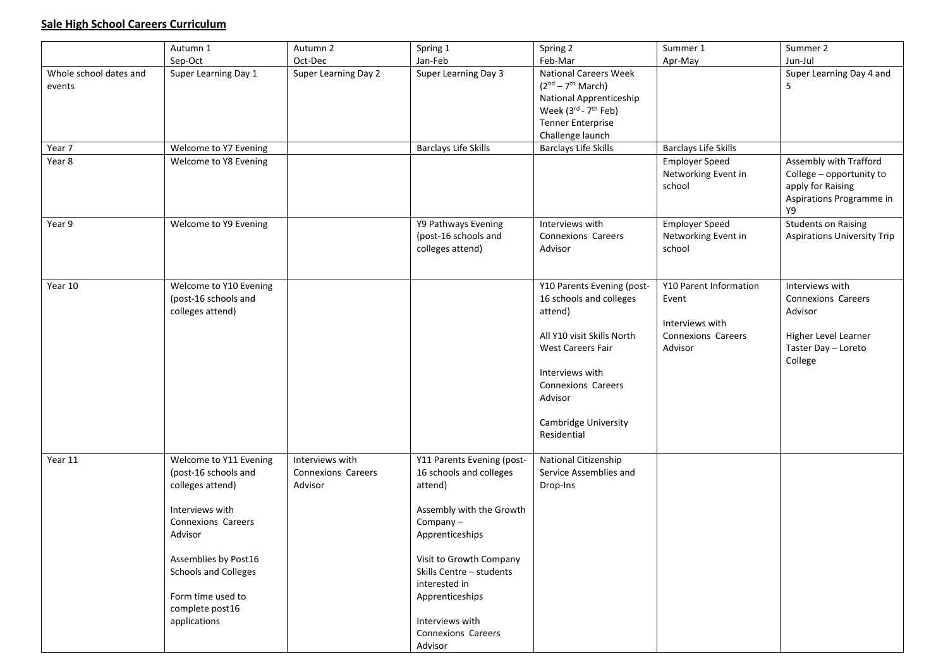## **Sale High School Careers Curriculum**

|                                  | Autumn 1                                                                                                                                                                                                                                     | Autumn 2                                         | Spring 1                                                                                                                                                                                                                                                                   | Spring 2                                                                                                                                                                                                                     | Summer 1                                                                                   | Summer 2                                                                                                          |
|----------------------------------|----------------------------------------------------------------------------------------------------------------------------------------------------------------------------------------------------------------------------------------------|--------------------------------------------------|----------------------------------------------------------------------------------------------------------------------------------------------------------------------------------------------------------------------------------------------------------------------------|------------------------------------------------------------------------------------------------------------------------------------------------------------------------------------------------------------------------------|--------------------------------------------------------------------------------------------|-------------------------------------------------------------------------------------------------------------------|
|                                  | Sep-Oct                                                                                                                                                                                                                                      | Oct-Dec                                          | Jan-Feb                                                                                                                                                                                                                                                                    | Feb-Mar                                                                                                                                                                                                                      | Apr-May                                                                                    | Jun-Jul                                                                                                           |
| Whole school dates and<br>events | Super Learning Day 1                                                                                                                                                                                                                         | Super Learning Day 2                             | Super Learning Day 3                                                                                                                                                                                                                                                       | <b>National Careers Week</b><br>$(2nd – 7th March)$<br><b>National Apprenticeship</b><br>Week (3rd - 7 <sup>th</sup> Feb)<br><b>Tenner Enterprise</b><br>Challenge launch                                                    |                                                                                            | Super Learning Day 4 and<br>5                                                                                     |
| Year 7                           | Welcome to Y7 Evening                                                                                                                                                                                                                        |                                                  | <b>Barclays Life Skills</b>                                                                                                                                                                                                                                                | <b>Barclays Life Skills</b>                                                                                                                                                                                                  | <b>Barclays Life Skills</b>                                                                |                                                                                                                   |
| Year 8                           | Welcome to Y8 Evening                                                                                                                                                                                                                        |                                                  |                                                                                                                                                                                                                                                                            |                                                                                                                                                                                                                              | <b>Employer Speed</b><br>Networking Event in<br>school                                     | Assembly with Trafford<br>College - opportunity to<br>apply for Raising<br>Aspirations Programme in<br>Y9         |
| Year 9                           | Welcome to Y9 Evening                                                                                                                                                                                                                        |                                                  | Y9 Pathways Evening<br>(post-16 schools and<br>colleges attend)                                                                                                                                                                                                            | Interviews with<br>Connexions Careers<br>Advisor                                                                                                                                                                             | <b>Employer Speed</b><br>Networking Event in<br>school                                     | <b>Students on Raising</b><br><b>Aspirations University Trip</b>                                                  |
| Year 10                          | Welcome to Y10 Evening<br>(post-16 schools and<br>colleges attend)                                                                                                                                                                           |                                                  |                                                                                                                                                                                                                                                                            | Y10 Parents Evening (post-<br>16 schools and colleges<br>attend)<br>All Y10 visit Skills North<br><b>West Careers Fair</b><br>Interviews with<br><b>Connexions Careers</b><br>Advisor<br>Cambridge University<br>Residential | Y10 Parent Information<br>Event<br>Interviews with<br><b>Connexions Careers</b><br>Advisor | Interviews with<br><b>Connexions Careers</b><br>Advisor<br>Higher Level Learner<br>Taster Day - Loreto<br>College |
| Year 11                          | Welcome to Y11 Evening<br>(post-16 schools and<br>colleges attend)<br>Interviews with<br><b>Connexions Careers</b><br>Advisor<br>Assemblies by Post16<br><b>Schools and Colleges</b><br>Form time used to<br>complete post16<br>applications | Interviews with<br>Connexions Careers<br>Advisor | Y11 Parents Evening (post-<br>16 schools and colleges<br>attend)<br>Assembly with the Growth<br>Company-<br>Apprenticeships<br>Visit to Growth Company<br>Skills Centre - students<br>interested in<br>Apprenticeships<br>Interviews with<br>Connexions Careers<br>Advisor | National Citizenship<br>Service Assemblies and<br>Drop-Ins                                                                                                                                                                   |                                                                                            |                                                                                                                   |